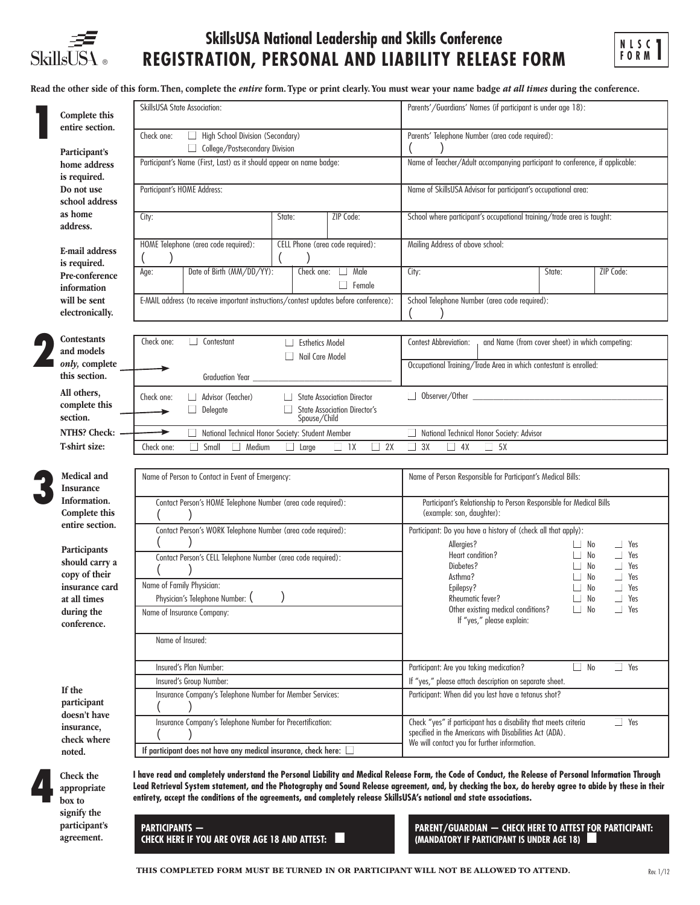

# **SkillsUSA National Leadership and Skills Conference REGISTRATION, PERSONAL AND LIABILITY RELEASE FORM**



Read the other side of this form. Then, complete the *entire* form. Type or print clearly. You must wear your name badge *at all times* during the conference.

| Complete this                                   | SkillsUSA State Association:                                                                                                                                                                                                                                                                                                                                                                                                                | Parents'/Guardians' Names (if participant is under age 18):                                                                                                                              |
|-------------------------------------------------|---------------------------------------------------------------------------------------------------------------------------------------------------------------------------------------------------------------------------------------------------------------------------------------------------------------------------------------------------------------------------------------------------------------------------------------------|------------------------------------------------------------------------------------------------------------------------------------------------------------------------------------------|
| entire section.                                 | High School Division (Secondary)<br>Check one:<br>College/Postsecondary Division                                                                                                                                                                                                                                                                                                                                                            | Parents' Telephone Number (area code required):                                                                                                                                          |
| Participant's<br>home address<br>is required.   | Participant's Name (First, Last) as it should appear on name badge:                                                                                                                                                                                                                                                                                                                                                                         | Name of Teacher/Adult accompanying participant to conference, if applicable:                                                                                                             |
| Do not use<br>school address                    | Participant's HOME Address:                                                                                                                                                                                                                                                                                                                                                                                                                 | Name of SkillsUSA Advisor for participant's occupational area:                                                                                                                           |
| as home<br>address.                             | ZIP Code:<br>City:<br>State:                                                                                                                                                                                                                                                                                                                                                                                                                | School where participant's occupational training/trade area is taught:                                                                                                                   |
| E-mail address                                  | HOME Telephone (area code required):<br>CELL Phone (area code required):                                                                                                                                                                                                                                                                                                                                                                    | Mailing Address of above school:                                                                                                                                                         |
| is required.<br>Pre-conference                  | Date of Birth (MM/DD/YY):<br>Male<br>Check one:<br>Age:<br>Female                                                                                                                                                                                                                                                                                                                                                                           | ZIP Code:<br>City:<br>State:                                                                                                                                                             |
| information<br>will be sent<br>electronically.  | E-MAIL address (to receive important instructions/contest updates before conference):                                                                                                                                                                                                                                                                                                                                                       | School Telephone Number (area code required):                                                                                                                                            |
|                                                 |                                                                                                                                                                                                                                                                                                                                                                                                                                             |                                                                                                                                                                                          |
| Contestants<br>and models                       | Check one:<br>$\Box$ Contestant<br><b>Esthetics Model</b><br>Nail Care Model                                                                                                                                                                                                                                                                                                                                                                | Contest Abbreviation:<br>and Name (from cover sheet) in which competing:                                                                                                                 |
| only, complete<br>this section.                 | <b>Graduation Year</b>                                                                                                                                                                                                                                                                                                                                                                                                                      | Occupational Training/Trade Area in which contestant is enrolled:                                                                                                                        |
| All others,<br>complete this<br>section.        | Check one:<br>Advisor (Teacher)<br><b>State Association Director</b><br><b>State Association Director's</b><br>Delegate<br>Spouse/Child                                                                                                                                                                                                                                                                                                     | $\Box$ Observer/Other $\Box$                                                                                                                                                             |
| <b>NTHS? Check:</b>                             | ▸<br>National Technical Honor Society: Student Member                                                                                                                                                                                                                                                                                                                                                                                       | National Technical Honor Society: Advisor                                                                                                                                                |
| T-shirt size:                                   | $\Box$ 1X<br>2X<br>Check one:<br>Small<br>Medium<br>$\Box$ Large<br>$\mathbf{L}$<br>□                                                                                                                                                                                                                                                                                                                                                       | 3X<br>4X<br>5X                                                                                                                                                                           |
| Medical and<br>Insurance                        | Name of Person to Contact in Event of Emergency:                                                                                                                                                                                                                                                                                                                                                                                            | Name of Person Responsible for Participant's Medical Bills:                                                                                                                              |
| Information.<br>Complete this                   | Contact Person's HOME Telephone Number (area code required):                                                                                                                                                                                                                                                                                                                                                                                | Participant's Relationship to Person Responsible for Medical Bills<br>(example: son, daughter):                                                                                          |
| entire section.                                 | Contact Person's WORK Telephone Number (area code required):                                                                                                                                                                                                                                                                                                                                                                                | Participant: Do you have a history of (check all that apply):                                                                                                                            |
| Participants<br>should carry a<br>copy of their | Contact Person's CELL Telephone Number (area code required):<br>Name of Family Physician:                                                                                                                                                                                                                                                                                                                                                   | Allergies?<br>Yes<br>No<br>$\Box$<br>Yes<br>Heart condition?<br>No<br>No<br>Diabetes?<br>Yes<br>Asthma?<br>No<br>Yes                                                                     |
| insurance card<br>at all times                  | Physician's Telephone Number: (                                                                                                                                                                                                                                                                                                                                                                                                             | No<br>Yes<br>Epilepsy?<br>П<br>Rheumatic fever?<br>No<br>П<br>Yes                                                                                                                        |
| during the<br>conference.                       | Name of Insurance Company:                                                                                                                                                                                                                                                                                                                                                                                                                  | Other existing medical conditions?<br>No<br>Yes<br>If "yes," please explain:                                                                                                             |
|                                                 | Name of Insured:                                                                                                                                                                                                                                                                                                                                                                                                                            |                                                                                                                                                                                          |
|                                                 | Insured's Plan Number:                                                                                                                                                                                                                                                                                                                                                                                                                      | Participant: Are you taking medication?<br>$\Box$ Yes<br>$\Box$ No                                                                                                                       |
| If the                                          | Insured's Group Number:                                                                                                                                                                                                                                                                                                                                                                                                                     | If "yes," please attach description on separate sheet.                                                                                                                                   |
| participant<br>doesn't have                     | Insurance Company's Telephone Number for Member Services:                                                                                                                                                                                                                                                                                                                                                                                   | Participant: When did you last have a tetanus shot?                                                                                                                                      |
| insurance,<br>check where                       | Insurance Company's Telephone Number for Precertification:                                                                                                                                                                                                                                                                                                                                                                                  | Check "yes" if participant has a disability that meets criteria<br>$\Box$ Yes<br>specified in the Americans with Disabilities Act (ADA).<br>We will contact you for further information. |
| noted.                                          | If participant does not have any medical insurance, check here:                                                                                                                                                                                                                                                                                                                                                                             |                                                                                                                                                                                          |
| Check the<br>appropriate<br>box to              | I have read and completely understand the Personal Liability and Medical Release Form, the Code of Conduct, the Release of Personal Information Through<br>Lead Retrieval System statement, and the Photography and Sound Release agreement, and, by checking the box, do hereby agree to abide by these in their<br>entirety, accept the conditions of the agreements, and completely release SkillsUSA's national and state associations. |                                                                                                                                                                                          |

**PARTICIPANTS —**

appropriate box to signify the participant's agreement.

**CHECK HERE TO ATTEST FOR PARTICIPANT:**<br>CHECK HERE IF YOU ARE OVER AGE <u>18 AND ATTEST:</u> ■ **PARENT/GUARDIANT IF PARTICIPANT IS UNDER AGE 18) (MANDATORY IF PARTICIPANT IS UNDER AGE 18)** ■